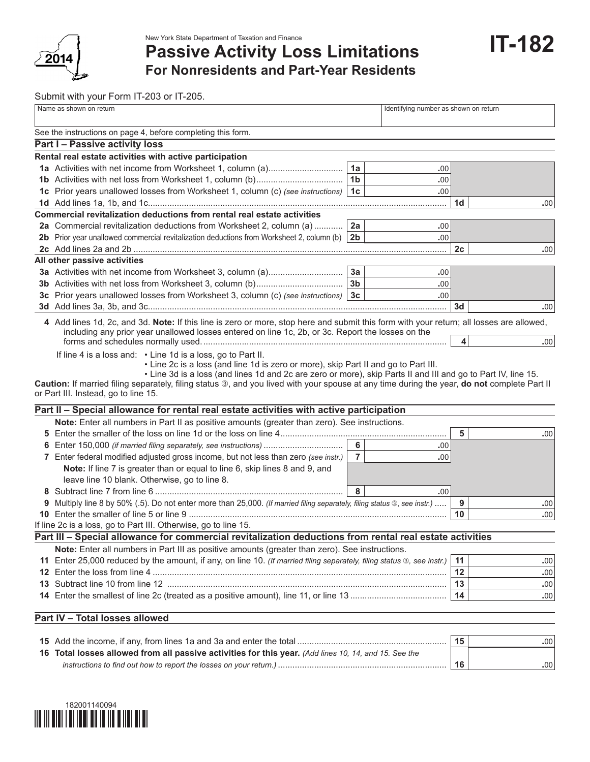

New York State Department of Taxation and Finance

**Passive Activity Loss Limitations**

**IT-182**

**For Nonresidents and Part-Year Residents**

Submit with your Form IT-203 or IT-205.

|     | Name as shown on return                                                                                                                  |                | Identifying number as shown on return |                |                  |
|-----|------------------------------------------------------------------------------------------------------------------------------------------|----------------|---------------------------------------|----------------|------------------|
|     | See the instructions on page 4, before completing this form.                                                                             |                |                                       |                |                  |
|     | Part I - Passive activity loss                                                                                                           |                |                                       |                |                  |
|     | Rental real estate activities with active participation                                                                                  |                |                                       |                |                  |
|     |                                                                                                                                          | 1a             | .00                                   |                |                  |
|     |                                                                                                                                          | 1 <sub>b</sub> | .00.                                  |                |                  |
|     | 1c Prior years unallowed losses from Worksheet 1, column (c) (see instructions)                                                          | 1 <sub>c</sub> | .00.                                  |                |                  |
|     |                                                                                                                                          |                |                                       | 1 <sub>d</sub> | .00              |
|     | Commercial revitalization deductions from rental real estate activities                                                                  |                |                                       |                |                  |
|     | 2a Commercial revitalization deductions from Worksheet 2, column (a)                                                                     | 2a             | .00.                                  |                |                  |
|     | 2b Prior year unallowed commercial revitalization deductions from Worksheet 2, column (b)                                                | 2 <sub>b</sub> | .00                                   |                |                  |
|     |                                                                                                                                          |                |                                       | 2c             | .00              |
|     | All other passive activities                                                                                                             |                |                                       |                |                  |
|     |                                                                                                                                          | 3a             | .00.                                  |                |                  |
|     |                                                                                                                                          | 3 <sub>b</sub> | .00.                                  |                |                  |
|     | 3c Prior years unallowed losses from Worksheet 3, column (c) (see instructions)                                                          | 3 <sub>c</sub> | .00.                                  |                |                  |
|     |                                                                                                                                          |                |                                       | 3 <sub>d</sub> | .00              |
|     | 4 Add lines 1d, 2c, and 3d. Note: If this line is zero or more, stop here and submit this form with your return; all losses are allowed, |                |                                       |                |                  |
|     | including any prior year unallowed losses entered on line 1c, 2b, or 3c. Report the losses on the                                        |                |                                       |                |                  |
|     |                                                                                                                                          |                |                                       | 4              | .00 <sub>1</sub> |
|     | or Part III. Instead, go to line 15.<br>Part II - Special allowance for rental real estate activities with active participation          |                |                                       |                |                  |
|     | Note: Enter all numbers in Part II as positive amounts (greater than zero). See instructions.                                            |                |                                       |                |                  |
| 5   |                                                                                                                                          |                |                                       | 5              | .00              |
| 6   |                                                                                                                                          | 6              | .00                                   |                |                  |
|     | 7 Enter federal modified adjusted gross income, but not less than zero (see instr.)                                                      | $\overline{7}$ | .00.                                  |                |                  |
|     | Note: If line 7 is greater than or equal to line 6, skip lines 8 and 9, and                                                              |                |                                       |                |                  |
|     | leave line 10 blank. Otherwise, go to line 8.                                                                                            |                |                                       |                |                  |
| 8.  |                                                                                                                                          | 8              | .00.                                  |                |                  |
| 9   | Multiply line 8 by 50% (.5). Do not enter more than 25,000. (If married filing separately, filing status ®, see instr.)                  |                |                                       | 9              | .00              |
|     |                                                                                                                                          |                |                                       | 10             | .00              |
|     | If line 2c is a loss, go to Part III. Otherwise, go to line 15.                                                                          |                |                                       |                |                  |
|     | Part III - Special allowance for commercial revitalization deductions from rental real estate activities                                 |                |                                       |                |                  |
|     | Note: Enter all numbers in Part III as positive amounts (greater than zero). See instructions.                                           |                |                                       |                |                  |
|     | 11 Enter 25,000 reduced by the amount, if any, on line 10. (If married filing separately, filing status ®, see instr.)                   |                |                                       | 11             | .00.             |
|     |                                                                                                                                          |                |                                       | 12             | .00              |
| 13. |                                                                                                                                          |                |                                       | 13             | .00              |
|     |                                                                                                                                          |                |                                       | 14             | .00.             |
|     | Part IV - Total losses allowed                                                                                                           |                |                                       |                |                  |
|     |                                                                                                                                          |                |                                       | 15             | .00.             |
|     |                                                                                                                                          |                |                                       |                |                  |

| $\sim$ . The state of the state is the state of the state of the state in the state informal content to the state of the state of the state of the state of the state of the state of the state of $\sim$ | .   |
|-----------------------------------------------------------------------------------------------------------------------------------------------------------------------------------------------------------|-----|
| 16 Total losses allowed from all passive activities for this year. (Add lines 10, 14, and 15. See the                                                                                                     |     |
| instructions to find out how to report the losses on your return.)                                                                                                                                        | .00 |

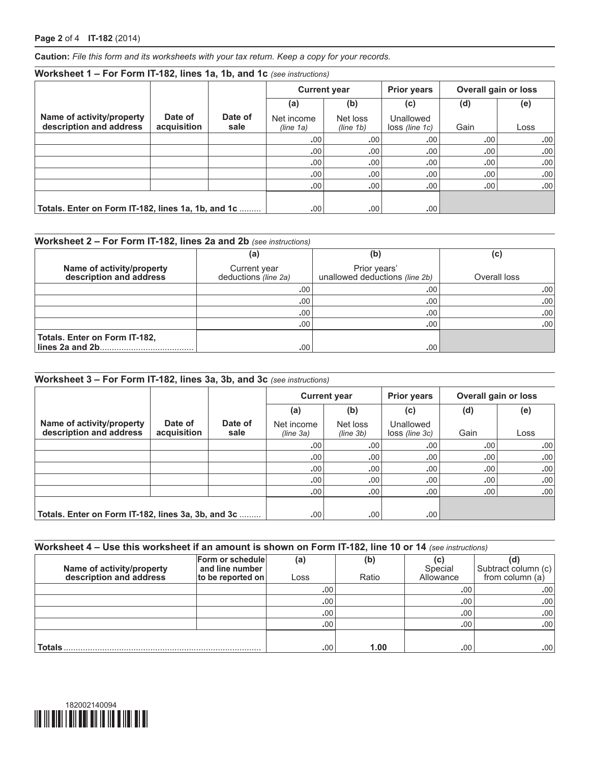**Caution:** *File this form and its worksheets with your tax return. Keep a copy for your records.*

| Worksheet 1 - For Form IT-182, lines 1a, 1b, and 1c (see instructions) |                        |                 |                                   |                       |                               |                      |      |  |
|------------------------------------------------------------------------|------------------------|-----------------|-----------------------------------|-----------------------|-------------------------------|----------------------|------|--|
|                                                                        |                        |                 | <b>Current year</b><br>(b)<br>(a) |                       | <b>Prior years</b>            | Overall gain or loss |      |  |
|                                                                        |                        |                 |                                   |                       | (c)                           | (d)                  | (e)  |  |
| Name of activity/property<br>description and address                   | Date of<br>acquisition | Date of<br>sale | Net income<br>(line 1a)           | Net loss<br>(line 1b) | Unallowed<br>$loss$ (line 1c) | Gain                 | Loss |  |
|                                                                        |                        |                 | .00                               | .00                   | .00                           | .00                  | .00  |  |
|                                                                        |                        |                 | .00                               | .00                   | .00                           | .00                  | .00. |  |
|                                                                        |                        |                 | .00                               | .00                   | .00                           | .00                  | .00  |  |
|                                                                        |                        |                 | .00                               | .00                   | .00                           | .00.                 | .00  |  |
|                                                                        |                        |                 | .00                               | .00                   | .00.                          | .00                  | .00  |  |
| Totals. Enter on Form IT-182, lines 1a, 1b, and 1c                     |                        |                 | .00                               | .00                   | .00.                          |                      |      |  |

## **Worksheet 2 – For Form IT-182, lines 2a and 2b** *(see instructions)*

|                                                      | (a)                                  | (b)                                            | (c)          |
|------------------------------------------------------|--------------------------------------|------------------------------------------------|--------------|
| Name of activity/property<br>description and address | Current year<br>deductions (line 2a) | Prior years'<br>unallowed deductions (line 2b) | Overall loss |
|                                                      | .00                                  | .00                                            | .00          |
|                                                      | .00.                                 | .00                                            | .00          |
|                                                      | .00                                  | .00                                            | .00          |
|                                                      | .00                                  | .00.                                           | .00          |
| Totals. Enter on Form IT-182,                        |                                      |                                                |              |
|                                                      | .00                                  | .00                                            |              |

## **Worksheet 3 – For Form IT-182, lines 3a, 3b, and 3c** *(see instructions)*

|                                                      |                        |                 | <b>Current year</b>     |                       |                             |      | <b>Prior years</b> | <b>Overall gain or loss</b> |  |
|------------------------------------------------------|------------------------|-----------------|-------------------------|-----------------------|-----------------------------|------|--------------------|-----------------------------|--|
|                                                      |                        |                 | (a)                     | (b)                   | (c)                         | (d)  | (e)                |                             |  |
| Name of activity/property<br>description and address | Date of<br>acquisition | Date of<br>sale | Net income<br>(line 3a) | Net loss<br>(line 3b) | Unallowed<br>loss (line 3c) | Gain | Loss               |                             |  |
|                                                      |                        |                 | .00.                    | .00.                  | .00.                        | .00. | .00                |                             |  |
|                                                      |                        |                 | .00.                    | .00.                  | .00.                        | .00. | .00                |                             |  |
|                                                      |                        |                 | .00.                    | .00.                  | .00.                        | .00. | .00                |                             |  |
|                                                      |                        |                 | .00 <sub>1</sub>        | .00.                  | .00.                        | .00. | .00                |                             |  |
|                                                      |                        |                 | .00.                    | .00.                  | .00.                        | .00. | .00.               |                             |  |
| Totals. Enter on Form IT-182, lines 3a, 3b, and 3c   |                        |                 | .00                     | .00                   | .00.                        |      |                    |                             |  |

### **Worksheet 4 – Use this worksheet if an amount is shown on Form IT-182, line 10 or 14** *(see instructions)*

| Name of activity/property<br>description and address | Form or schedule<br>and line number<br>to be reported on | (a)<br>Loss | (b)<br>Ratio | Special<br>Allowance | Subtract column (c)<br>from column $(a)$ |
|------------------------------------------------------|----------------------------------------------------------|-------------|--------------|----------------------|------------------------------------------|
|                                                      |                                                          |             |              |                      |                                          |
|                                                      |                                                          | .00.        |              | .00                  | .00                                      |
|                                                      |                                                          | .00         |              | .00                  | .00                                      |
|                                                      |                                                          | .00         |              | .00 <sup>1</sup>     | .00                                      |
|                                                      |                                                          | .00         |              | .00 <sub>1</sub>     | .00                                      |
|                                                      |                                                          |             |              |                      |                                          |
| <b>Totals</b>                                        |                                                          | .00.        | 1.00         | .00                  | .00                                      |

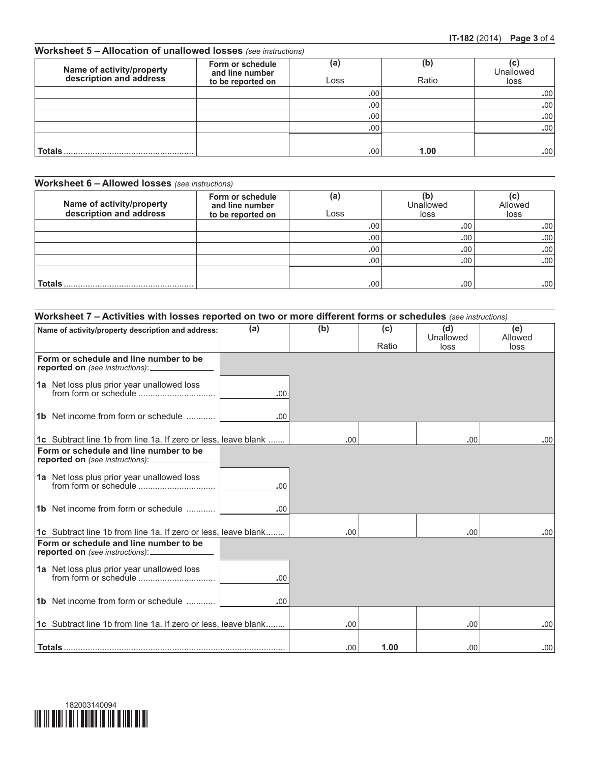## **Worksheet 5 – Allocation of unallowed losses** *(see instructions)*

| Name of activity/property<br>description and address | Form or schedule<br>and line number<br>to be reported on | (a)<br>Loss | (b)<br>Ratio | (C<br>Unallowed<br>loss |
|------------------------------------------------------|----------------------------------------------------------|-------------|--------------|-------------------------|
|                                                      |                                                          | .00.        |              | .00                     |
|                                                      |                                                          | .00         |              | .00 <sub>1</sub>        |
|                                                      |                                                          | .00         |              | .00                     |
|                                                      |                                                          | .00         |              | .00                     |
|                                                      |                                                          |             |              |                         |
| <b>Totals</b>                                        |                                                          | .00         | 1.00         | .00.                    |

## **Worksheet 6 – Allowed losses** *(see instructions)*

| Name of activity/property<br>description and address | Form or schedule<br>and line number<br>to be reported on | (a)<br>Loss | (b<br>Unallowed<br>loss | (c<br>Allowed<br>loss |
|------------------------------------------------------|----------------------------------------------------------|-------------|-------------------------|-----------------------|
|                                                      |                                                          | .00         | .00                     | .00                   |
|                                                      |                                                          | .00         | .00.                    | .00                   |
|                                                      |                                                          | .00         | .00 <sub>1</sub>        | .00                   |
|                                                      |                                                          | .00         | .00                     | .00                   |
|                                                      |                                                          |             |                         |                       |
| <b>Totals</b>                                        |                                                          | .00         | .00.                    | .00                   |

## **Worksheet 7 – Activities with losses reported on two or more different forms or schedules** *(see instructions)*

| Name of activity/property description and address:                                        | (a) | (b)  | (c)   | (d)<br>Unallowed | (e)<br>Allowed |
|-------------------------------------------------------------------------------------------|-----|------|-------|------------------|----------------|
|                                                                                           |     |      | Ratio | loss             | loss           |
| Form or schedule and line number to be<br>reported on (see instructions): _______________ |     |      |       |                  |                |
| 1a Net loss plus prior year unallowed loss                                                | .00 |      |       |                  |                |
| 1b Net income from form or schedule                                                       | .00 |      |       |                  |                |
| <b>1c</b> Subtract line 1b from line 1a. If zero or less, leave blank                     |     | .00. |       | .00.             | .00            |
| Form or schedule and line number to be<br>reported on (see instructions): ______________  |     |      |       |                  |                |
| 1a Net loss plus prior year unallowed loss<br>from form or schedule                       | .00 |      |       |                  |                |
| 1b Net income from form or schedule                                                       | .00 |      |       |                  |                |
| <b>1c</b> Subtract line 1b from line 1a. If zero or less, leave blank                     |     | .00. |       | .00              | .00            |
| Form or schedule and line number to be<br>reported on (see instructions): _____________   |     |      |       |                  |                |
| 1a Net loss plus prior year unallowed loss                                                | .00 |      |       |                  |                |
| 1b Net income from form or schedule                                                       | .00 |      |       |                  |                |
| 1c Subtract line 1b from line 1a. If zero or less, leave blank                            |     | .00. |       | .00.             | .00            |
| <b>Totals</b> …………………………………………………………………………………                                             |     | .00. | 1.00  | .00.             | .00            |